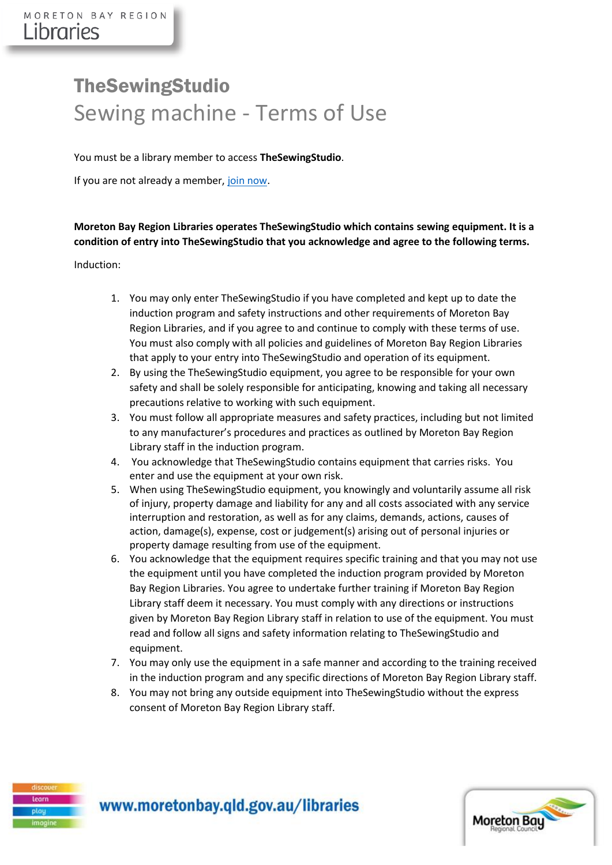## TheSewingStudio Sewing machine - Terms of Use

You must be a library member to access **TheSewingStudio**.

If you are not already a member, [join now.](https://library.moretonbay.qld.gov.au/cgi-bin/spydus.exe/MSGTRN/WPAC/JOIN)

## **Moreton Bay Region Libraries operates TheSewingStudio which contains sewing equipment. It is a condition of entry into TheSewingStudio that you acknowledge and agree to the following terms.**

## Induction:

- 1. You may only enter TheSewingStudio if you have completed and kept up to date the induction program and safety instructions and other requirements of Moreton Bay Region Libraries, and if you agree to and continue to comply with these terms of use. You must also comply with all policies and guidelines of Moreton Bay Region Libraries that apply to your entry into TheSewingStudio and operation of its equipment.
- 2. By using the TheSewingStudio equipment, you agree to be responsible for your own safety and shall be solely responsible for anticipating, knowing and taking all necessary precautions relative to working with such equipment.
- 3. You must follow all appropriate measures and safety practices, including but not limited to any manufacturer's procedures and practices as outlined by Moreton Bay Region Library staff in the induction program.
- 4. You acknowledge that TheSewingStudio contains equipment that carries risks. You enter and use the equipment at your own risk.
- 5. When using TheSewingStudio equipment, you knowingly and voluntarily assume all risk of injury, property damage and liability for any and all costs associated with any service interruption and restoration, as well as for any claims, demands, actions, causes of action, damage(s), expense, cost or judgement(s) arising out of personal injuries or property damage resulting from use of the equipment.
- 6. You acknowledge that the equipment requires specific training and that you may not use the equipment until you have completed the induction program provided by Moreton Bay Region Libraries. You agree to undertake further training if Moreton Bay Region Library staff deem it necessary. You must comply with any directions or instructions given by Moreton Bay Region Library staff in relation to use of the equipment. You must read and follow all signs and safety information relating to TheSewingStudio and equipment.
- 7. You may only use the equipment in a safe manner and according to the training received in the induction program and any specific directions of Moreton Bay Region Library staff.
- 8. You may not bring any outside equipment into TheSewingStudio without the express consent of Moreton Bay Region Library staff.